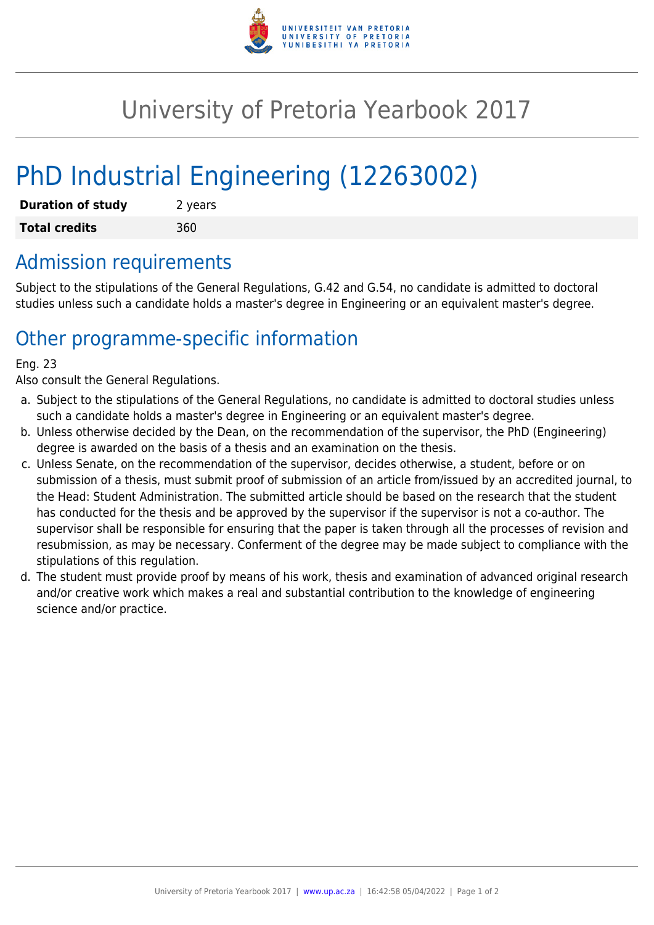

## University of Pretoria Yearbook 2017

# PhD Industrial Engineering (12263002)

| <b>Duration of study</b> | 2 years |
|--------------------------|---------|
| <b>Total credits</b>     | 360     |

#### Admission requirements

Subject to the stipulations of the General Regulations, G.42 and G.54, no candidate is admitted to doctoral studies unless such a candidate holds a master's degree in Engineering or an equivalent master's degree.

### Other programme-specific information

#### Eng. 23

Also consult the General Regulations.

- a. Subject to the stipulations of the General Regulations, no candidate is admitted to doctoral studies unless such a candidate holds a master's degree in Engineering or an equivalent master's degree.
- b. Unless otherwise decided by the Dean, on the recommendation of the supervisor, the PhD (Engineering) degree is awarded on the basis of a thesis and an examination on the thesis.
- c. Unless Senate, on the recommendation of the supervisor, decides otherwise, a student, before or on submission of a thesis, must submit proof of submission of an article from/issued by an accredited journal, to the Head: Student Administration. The submitted article should be based on the research that the student has conducted for the thesis and be approved by the supervisor if the supervisor is not a co-author. The supervisor shall be responsible for ensuring that the paper is taken through all the processes of revision and resubmission, as may be necessary. Conferment of the degree may be made subject to compliance with the stipulations of this regulation.
- d. The student must provide proof by means of his work, thesis and examination of advanced original research and/or creative work which makes a real and substantial contribution to the knowledge of engineering science and/or practice.